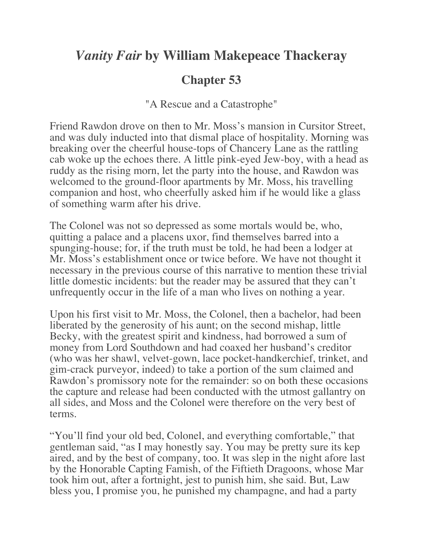## *Vanity Fair* **by William Makepeace Thackeray**

## **Chapter 53**

"A Rescue and a Catastrophe"

Friend Rawdon drove on then to Mr. Moss's mansion in Cursitor Street, and was duly inducted into that dismal place of hospitality. Morning was breaking over the cheerful house-tops of Chancery Lane as the rattling cab woke up the echoes there. A little pink-eyed Jew-boy, with a head as ruddy as the rising morn, let the party into the house, and Rawdon was welcomed to the ground-floor apartments by Mr. Moss, his travelling companion and host, who cheerfully asked him if he would like a glass of something warm after his drive.

The Colonel was not so depressed as some mortals would be, who, quitting a palace and a placens uxor, find themselves barred into a spunging-house; for, if the truth must be told, he had been a lodger at Mr. Moss's establishment once or twice before. We have not thought it necessary in the previous course of this narrative to mention these trivial little domestic incidents: but the reader may be assured that they can't unfrequently occur in the life of a man who lives on nothing a year.

Upon his first visit to Mr. Moss, the Colonel, then a bachelor, had been liberated by the generosity of his aunt; on the second mishap, little Becky, with the greatest spirit and kindness, had borrowed a sum of money from Lord Southdown and had coaxed her husband's creditor (who was her shawl, velvet-gown, lace pocket-handkerchief, trinket, and gim-crack purveyor, indeed) to take a portion of the sum claimed and Rawdon's promissory note for the remainder: so on both these occasions the capture and release had been conducted with the utmost gallantry on all sides, and Moss and the Colonel were therefore on the very best of terms.

"You'll find your old bed, Colonel, and everything comfortable," that gentleman said, "as I may honestly say. You may be pretty sure its kep aired, and by the best of company, too. It was slep in the night afore last by the Honorable Capting Famish, of the Fiftieth Dragoons, whose Mar took him out, after a fortnight, jest to punish him, she said. But, Law bless you, I promise you, he punished my champagne, and had a party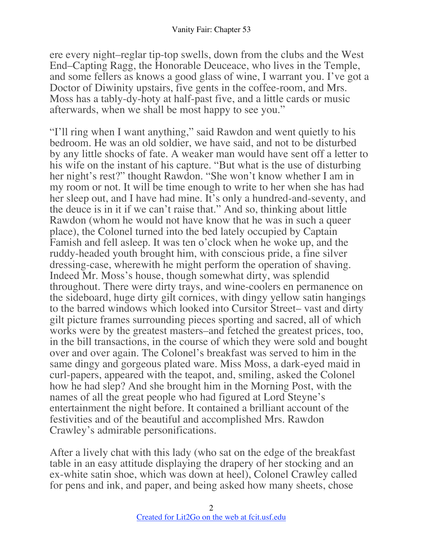ere every night–reglar tip-top swells, down from the clubs and the West End–Capting Ragg, the Honorable Deuceace, who lives in the Temple, and some fellers as knows a good glass of wine, I warrant you. I've got a Doctor of Diwinity upstairs, five gents in the coffee-room, and Mrs. Moss has a tably-dy-hoty at half-past five, and a little cards or music afterwards, when we shall be most happy to see you."

"I'll ring when I want anything," said Rawdon and went quietly to his bedroom. He was an old soldier, we have said, and not to be disturbed by any little shocks of fate. A weaker man would have sent off a letter to his wife on the instant of his capture. "But what is the use of disturbing her night's rest?" thought Rawdon. "She won't know whether I am in my room or not. It will be time enough to write to her when she has had her sleep out, and I have had mine. It's only a hundred-and-seventy, and the deuce is in it if we can't raise that." And so, thinking about little Rawdon (whom he would not have know that he was in such a queer place), the Colonel turned into the bed lately occupied by Captain Famish and fell asleep. It was ten o'clock when he woke up, and the ruddy-headed youth brought him, with conscious pride, a fine silver dressing-case, wherewith he might perform the operation of shaving. Indeed Mr. Moss's house, though somewhat dirty, was splendid throughout. There were dirty trays, and wine-coolers en permanence on the sideboard, huge dirty gilt cornices, with dingy yellow satin hangings to the barred windows which looked into Cursitor Street– vast and dirty gilt picture frames surrounding pieces sporting and sacred, all of which works were by the greatest masters–and fetched the greatest prices, too, in the bill transactions, in the course of which they were sold and bought over and over again. The Colonel's breakfast was served to him in the same dingy and gorgeous plated ware. Miss Moss, a dark-eyed maid in curl-papers, appeared with the teapot, and, smiling, asked the Colonel how he had slep? And she brought him in the Morning Post, with the names of all the great people who had figured at Lord Steyne's entertainment the night before. It contained a brilliant account of the festivities and of the beautiful and accomplished Mrs. Rawdon Crawley's admirable personifications.

After a lively chat with this lady (who sat on the edge of the breakfast table in an easy attitude displaying the drapery of her stocking and an ex-white satin shoe, which was down at heel), Colonel Crawley called for pens and ink, and paper, and being asked how many sheets, chose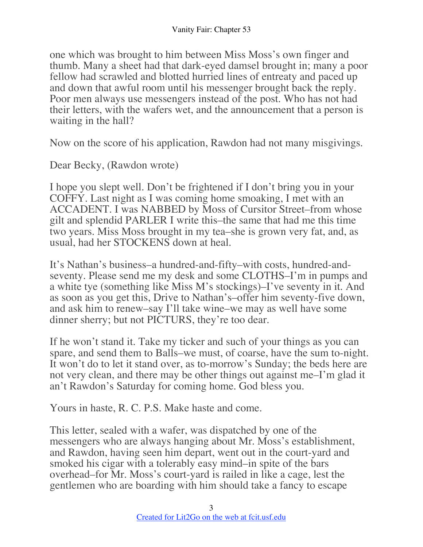one which was brought to him between Miss Moss's own finger and thumb. Many a sheet had that dark-eyed damsel brought in; many a poor fellow had scrawled and blotted hurried lines of entreaty and paced up and down that awful room until his messenger brought back the reply. Poor men always use messengers instead of the post. Who has not had their letters, with the wafers wet, and the announcement that a person is waiting in the hall?

Now on the score of his application, Rawdon had not many misgivings.

Dear Becky, (Rawdon wrote)

I hope you slept well. Don't be frightened if I don't bring you in your COFFY. Last night as I was coming home smoaking, I met with an ACCADENT. I was NABBED by Moss of Cursitor Street–from whose gilt and splendid PARLER I write this–the same that had me this time two years. Miss Moss brought in my tea–she is grown very fat, and, as usual, had her STOCKENS down at heal.

It's Nathan's business–a hundred-and-fifty–with costs, hundred-andseventy. Please send me my desk and some CLOTHS–I'm in pumps and a white tye (something like Miss M's stockings)–I've seventy in it. And as soon as you get this, Drive to Nathan's–offer him seventy-five down, and ask him to renew–say I'll take wine–we may as well have some dinner sherry; but not PICTURS, they're too dear.

If he won't stand it. Take my ticker and such of your things as you can spare, and send them to Balls–we must, of coarse, have the sum to-night. It won't do to let it stand over, as to-morrow's Sunday; the beds here are not very clean, and there may be other things out against me–I'm glad it an't Rawdon's Saturday for coming home. God bless you.

Yours in haste, R. C. P.S. Make haste and come.

This letter, sealed with a wafer, was dispatched by one of the messengers who are always hanging about Mr. Moss's establishment, and Rawdon, having seen him depart, went out in the court-yard and smoked his cigar with a tolerably easy mind–in spite of the bars overhead–for Mr. Moss's court-yard is railed in like a cage, lest the gentlemen who are boarding with him should take a fancy to escape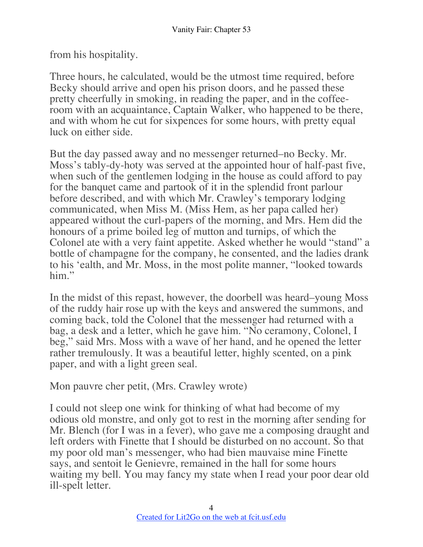from his hospitality.

Three hours, he calculated, would be the utmost time required, before Becky should arrive and open his prison doors, and he passed these pretty cheerfully in smoking, in reading the paper, and in the coffeeroom with an acquaintance, Captain Walker, who happened to be there, and with whom he cut for sixpences for some hours, with pretty equal luck on either side.

But the day passed away and no messenger returned–no Becky. Mr. Moss's tably-dy-hoty was served at the appointed hour of half-past five, when such of the gentlemen lodging in the house as could afford to pay for the banquet came and partook of it in the splendid front parlour before described, and with which Mr. Crawley's temporary lodging communicated, when Miss M. (Miss Hem, as her papa called her) appeared without the curl-papers of the morning, and Mrs. Hem did the honours of a prime boiled leg of mutton and turnips, of which the Colonel ate with a very faint appetite. Asked whether he would "stand" a bottle of champagne for the company, he consented, and the ladies drank to his 'ealth, and Mr. Moss, in the most polite manner, "looked towards him."

In the midst of this repast, however, the doorbell was heard–young Moss of the ruddy hair rose up with the keys and answered the summons, and coming back, told the Colonel that the messenger had returned with a bag, a desk and a letter, which he gave him. "No ceramony, Colonel, I beg," said Mrs. Moss with a wave of her hand, and he opened the letter rather tremulously. It was a beautiful letter, highly scented, on a pink paper, and with a light green seal.

Mon pauvre cher petit, (Mrs. Crawley wrote)

I could not sleep one wink for thinking of what had become of my odious old monstre, and only got to rest in the morning after sending for Mr. Blench (for I was in a fever), who gave me a composing draught and left orders with Finette that I should be disturbed on no account. So that my poor old man's messenger, who had bien mauvaise mine Finette says, and sentoit le Genievre, remained in the hall for some hours waiting my bell. You may fancy my state when I read your poor dear old ill-spelt letter.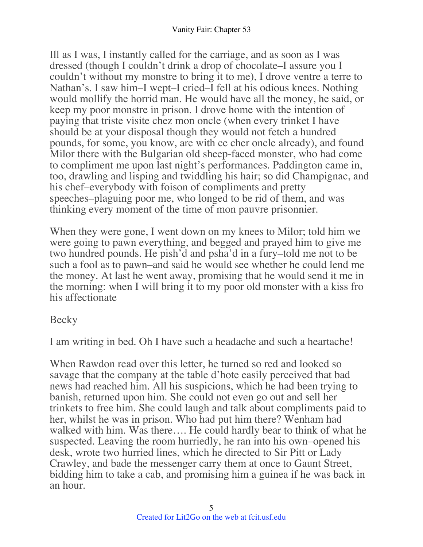Ill as I was, I instantly called for the carriage, and as soon as I was dressed (though I couldn't drink a drop of chocolate–I assure you I couldn't without my monstre to bring it to me), I drove ventre a terre to Nathan's. I saw him–I wept–I cried–I fell at his odious knees. Nothing would mollify the horrid man. He would have all the money, he said, or keep my poor monstre in prison. I drove home with the intention of paying that triste visite chez mon oncle (when every trinket I have should be at your disposal though they would not fetch a hundred pounds, for some, you know, are with ce cher oncle already), and found Milor there with the Bulgarian old sheep-faced monster, who had come to compliment me upon last night's performances. Paddington came in, too, drawling and lisping and twiddling his hair; so did Champignac, and his chef–everybody with foison of compliments and pretty speeches–plaguing poor me, who longed to be rid of them, and was thinking every moment of the time of mon pauvre prisonnier.

When they were gone, I went down on my knees to Milor; told him we were going to pawn everything, and begged and prayed him to give me two hundred pounds. He pish'd and psha'd in a fury–told me not to be such a fool as to pawn–and said he would see whether he could lend me the money. At last he went away, promising that he would send it me in the morning: when I will bring it to my poor old monster with a kiss fro his affectionate

Becky

I am writing in bed. Oh I have such a headache and such a heartache!

When Rawdon read over this letter, he turned so red and looked so savage that the company at the table d'hote easily perceived that bad news had reached him. All his suspicions, which he had been trying to banish, returned upon him. She could not even go out and sell her trinkets to free him. She could laugh and talk about compliments paid to her, whilst he was in prison. Who had put him there? Wenham had walked with him. Was there…. He could hardly bear to think of what he suspected. Leaving the room hurriedly, he ran into his own–opened his desk, wrote two hurried lines, which he directed to Sir Pitt or Lady Crawley, and bade the messenger carry them at once to Gaunt Street, bidding him to take a cab, and promising him a guinea if he was back in an hour.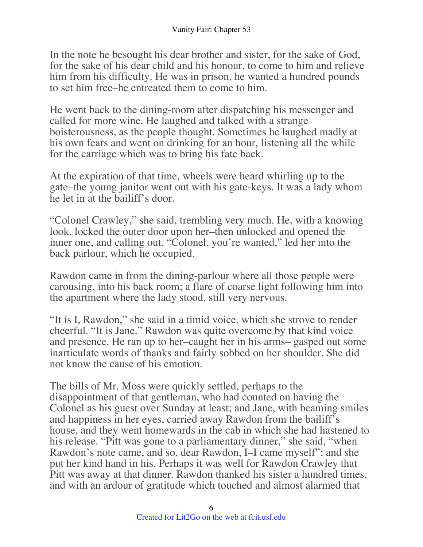In the note he besought his dear brother and sister, for the sake of God, for the sake of his dear child and his honour, to come to him and relieve him from his difficulty. He was in prison, he wanted a hundred pounds to set him free–he entreated them to come to him.

He went back to the dining-room after dispatching his messenger and called for more wine. He laughed and talked with a strange boisterousness, as the people thought. Sometimes he laughed madly at his own fears and went on drinking for an hour, listening all the while for the carriage which was to bring his fate back.

At the expiration of that time, wheels were heard whirling up to the gate–the young janitor went out with his gate-keys. It was a lady whom he let in at the bailiff's door.

"Colonel Crawley," she said, trembling very much. He, with a knowing look, locked the outer door upon her–then unlocked and opened the inner one, and calling out, "Colonel, you're wanted," led her into the back parlour, which he occupied.

Rawdon came in from the dining-parlour where all those people were carousing, into his back room; a flare of coarse light following him into the apartment where the lady stood, still very nervous.

"It is I, Rawdon," she said in a timid voice, which she strove to render cheerful. "It is Jane." Rawdon was quite overcome by that kind voice and presence. He ran up to her–caught her in his arms– gasped out some inarticulate words of thanks and fairly sobbed on her shoulder. She did not know the cause of his emotion.

The bills of Mr. Moss were quickly settled, perhaps to the disappointment of that gentleman, who had counted on having the Colonel as his guest over Sunday at least; and Jane, with beaming smiles and happiness in her eyes, carried away Rawdon from the bailiff's house, and they went homewards in the cab in which she had hastened to his release. "Pitt was gone to a parliamentary dinner," she said, "when Rawdon's note came, and so, dear Rawdon, I–I came myself"; and she put her kind hand in his. Perhaps it was well for Rawdon Crawley that Pitt was away at that dinner. Rawdon thanked his sister a hundred times, and with an ardour of gratitude which touched and almost alarmed that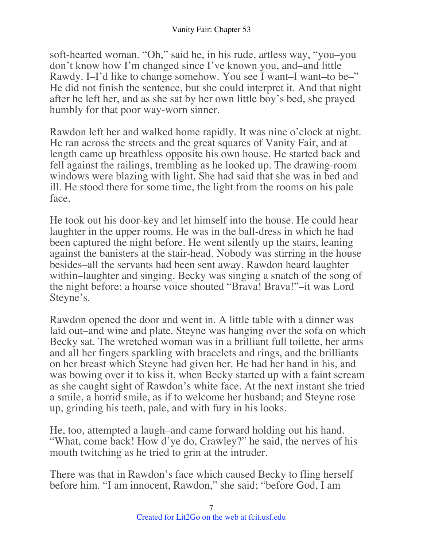soft-hearted woman. "Oh," said he, in his rude, artless way, "you–you don't know how I'm changed since I've known you, and–and little Rawdy. I–I'd like to change somehow. You see I want–I want–to be–" He did not finish the sentence, but she could interpret it. And that night after he left her, and as she sat by her own little boy's bed, she prayed humbly for that poor way-worn sinner.

Rawdon left her and walked home rapidly. It was nine o'clock at night. He ran across the streets and the great squares of Vanity Fair, and at length came up breathless opposite his own house. He started back and fell against the railings, trembling as he looked up. The drawing-room windows were blazing with light. She had said that she was in bed and ill. He stood there for some time, the light from the rooms on his pale face.

He took out his door-key and let himself into the house. He could hear laughter in the upper rooms. He was in the ball-dress in which he had been captured the night before. He went silently up the stairs, leaning against the banisters at the stair-head. Nobody was stirring in the house besides–all the servants had been sent away. Rawdon heard laughter within–laughter and singing. Becky was singing a snatch of the song of the night before; a hoarse voice shouted "Brava! Brava!"–it was Lord Steyne's.

Rawdon opened the door and went in. A little table with a dinner was laid out–and wine and plate. Steyne was hanging over the sofa on which Becky sat. The wretched woman was in a brilliant full toilette, her arms and all her fingers sparkling with bracelets and rings, and the brilliants on her breast which Steyne had given her. He had her hand in his, and was bowing over it to kiss it, when Becky started up with a faint scream as she caught sight of Rawdon's white face. At the next instant she tried a smile, a horrid smile, as if to welcome her husband; and Steyne rose up, grinding his teeth, pale, and with fury in his looks.

He, too, attempted a laugh–and came forward holding out his hand. "What, come back! How d'ye do, Crawley?" he said, the nerves of his mouth twitching as he tried to grin at the intruder.

There was that in Rawdon's face which caused Becky to fling herself before him. "I am innocent, Rawdon," she said; "before God, I am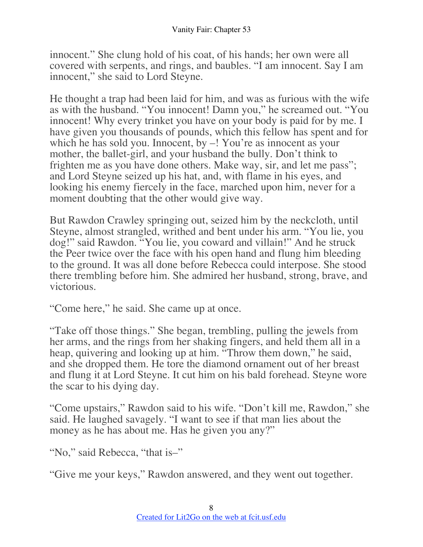innocent." She clung hold of his coat, of his hands; her own were all covered with serpents, and rings, and baubles. "I am innocent. Say I am innocent," she said to Lord Steyne.

He thought a trap had been laid for him, and was as furious with the wife as with the husband. "You innocent! Damn you," he screamed out. "You innocent! Why every trinket you have on your body is paid for by me. I have given you thousands of pounds, which this fellow has spent and for which he has sold you. Innocent, by  $-$ ! You're as innocent as your mother, the ballet-girl, and your husband the bully. Don't think to frighten me as you have done others. Make way, sir, and let me pass"; and Lord Steyne seized up his hat, and, with flame in his eyes, and looking his enemy fiercely in the face, marched upon him, never for a moment doubting that the other would give way.

But Rawdon Crawley springing out, seized him by the neckcloth, until Steyne, almost strangled, writhed and bent under his arm. "You lie, you dog!" said Rawdon. "You lie, you coward and villain!" And he struck the Peer twice over the face with his open hand and flung him bleeding to the ground. It was all done before Rebecca could interpose. She stood there trembling before him. She admired her husband, strong, brave, and victorious.

"Come here," he said. She came up at once.

"Take off those things." She began, trembling, pulling the jewels from her arms, and the rings from her shaking fingers, and held them all in a heap, quivering and looking up at him. "Throw them down," he said, and she dropped them. He tore the diamond ornament out of her breast and flung it at Lord Steyne. It cut him on his bald forehead. Steyne wore the scar to his dying day.

"Come upstairs," Rawdon said to his wife. "Don't kill me, Rawdon," she said. He laughed savagely. "I want to see if that man lies about the money as he has about me. Has he given you any?"

"No," said Rebecca, "that is–"

"Give me your keys," Rawdon answered, and they went out together.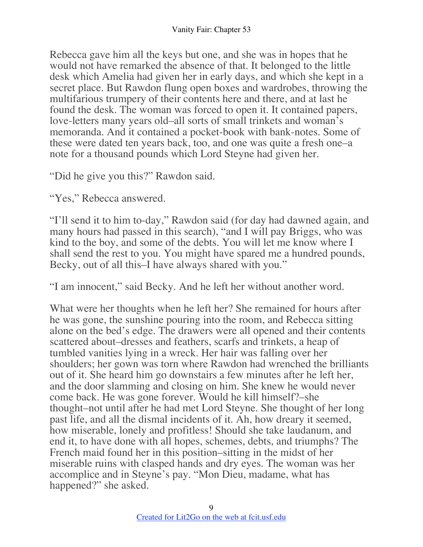Rebecca gave him all the keys but one, and she was in hopes that he would not have remarked the absence of that. It belonged to the little desk which Amelia had given her in early days, and which she kept in a secret place. But Rawdon flung open boxes and wardrobes, throwing the multifarious trumpery of their contents here and there, and at last he found the desk. The woman was forced to open it. It contained papers, love-letters many years old–all sorts of small trinkets and woman's memoranda. And it contained a pocket-book with bank-notes. Some of these were dated ten years back, too, and one was quite a fresh one–a note for a thousand pounds which Lord Steyne had given her.

"Did he give you this?" Rawdon said.

"Yes," Rebecca answered.

"I'll send it to him to-day," Rawdon said (for day had dawned again, and many hours had passed in this search), "and I will pay Briggs, who was kind to the boy, and some of the debts. You will let me know where I shall send the rest to you. You might have spared me a hundred pounds, Becky, out of all this–I have always shared with you."

"I am innocent," said Becky. And he left her without another word.

What were her thoughts when he left her? She remained for hours after he was gone, the sunshine pouring into the room, and Rebecca sitting alone on the bed's edge. The drawers were all opened and their contents scattered about–dresses and feathers, scarfs and trinkets, a heap of tumbled vanities lying in a wreck. Her hair was falling over her shoulders; her gown was torn where Rawdon had wrenched the brilliants out of it. She heard him go downstairs a few minutes after he left her, and the door slamming and closing on him. She knew he would never come back. He was gone forever. Would he kill himself?–she thought–not until after he had met Lord Steyne. She thought of her long past life, and all the dismal incidents of it. Ah, how dreary it seemed, how miserable, lonely and profitless! Should she take laudanum, and end it, to have done with all hopes, schemes, debts, and triumphs? The French maid found her in this position–sitting in the midst of her miserable ruins with clasped hands and dry eyes. The woman was her accomplice and in Steyne's pay. "Mon Dieu, madame, what has happened?" she asked.